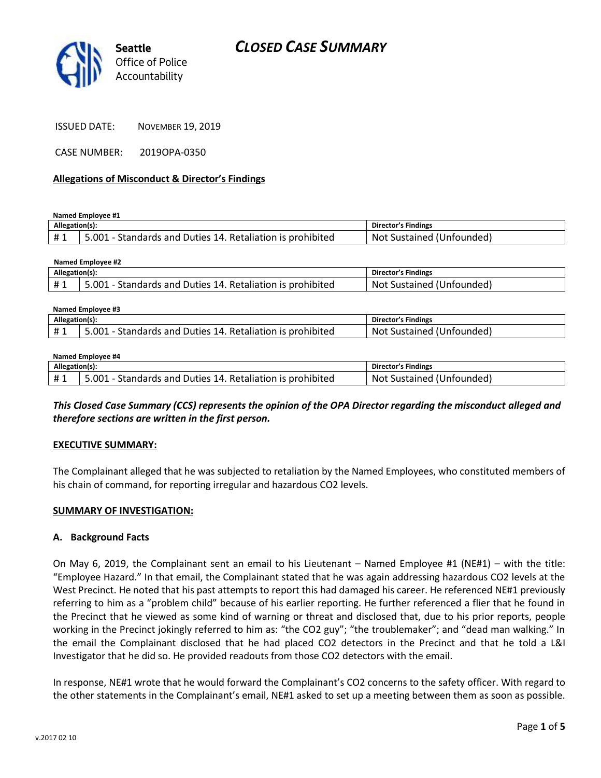

CASE NUMBER: 2019OPA-0350

#### **Allegations of Misconduct & Director's Findings**

**Named Employee #1**

| Allegation(s): |                                                            | <b>Director's Findings</b> |
|----------------|------------------------------------------------------------|----------------------------|
|                | 5.001 - Standards and Duties 14. Retaliation is prohibited | Not Sustained (Unfounded)  |

| Named Employee #2 |                                                            |                           |  |  |
|-------------------|------------------------------------------------------------|---------------------------|--|--|
| Allegation(s):    |                                                            | Director's Findings       |  |  |
|                   | 5.001 - Standards and Duties 14. Retaliation is prohibited | Not Sustained (Unfounded) |  |  |

| Named Employee #3 |                                                            |                           |  |  |
|-------------------|------------------------------------------------------------|---------------------------|--|--|
| Allegation(s):    |                                                            | Director's Findings       |  |  |
| #1                | 5.001 - Standards and Duties 14. Retaliation is prohibited | Not Sustained (Unfounded) |  |  |

#### **Named Employee #4**

| Allegation(s): |                                                            | <b>Director's Findings</b> |
|----------------|------------------------------------------------------------|----------------------------|
| <b>#1</b>      | 5.001 - Standards and Duties 14. Retaliation is prohibited | Not Sustained (Unfounded)  |

*This Closed Case Summary (CCS) represents the opinion of the OPA Director regarding the misconduct alleged and therefore sections are written in the first person.* 

### **EXECUTIVE SUMMARY:**

The Complainant alleged that he was subjected to retaliation by the Named Employees, who constituted members of his chain of command, for reporting irregular and hazardous CO2 levels.

#### **SUMMARY OF INVESTIGATION:**

#### **A. Background Facts**

On May 6, 2019, the Complainant sent an email to his Lieutenant – Named Employee #1 (NE#1) – with the title: "Employee Hazard." In that email, the Complainant stated that he was again addressing hazardous CO2 levels at the West Precinct. He noted that his past attempts to report this had damaged his career. He referenced NE#1 previously referring to him as a "problem child" because of his earlier reporting. He further referenced a flier that he found in the Precinct that he viewed as some kind of warning or threat and disclosed that, due to his prior reports, people working in the Precinct jokingly referred to him as: "the CO2 guy"; "the troublemaker"; and "dead man walking." In the email the Complainant disclosed that he had placed CO2 detectors in the Precinct and that he told a L&I Investigator that he did so. He provided readouts from those CO2 detectors with the email.

In response, NE#1 wrote that he would forward the Complainant's CO2 concerns to the safety officer. With regard to the other statements in the Complainant's email, NE#1 asked to set up a meeting between them as soon as possible.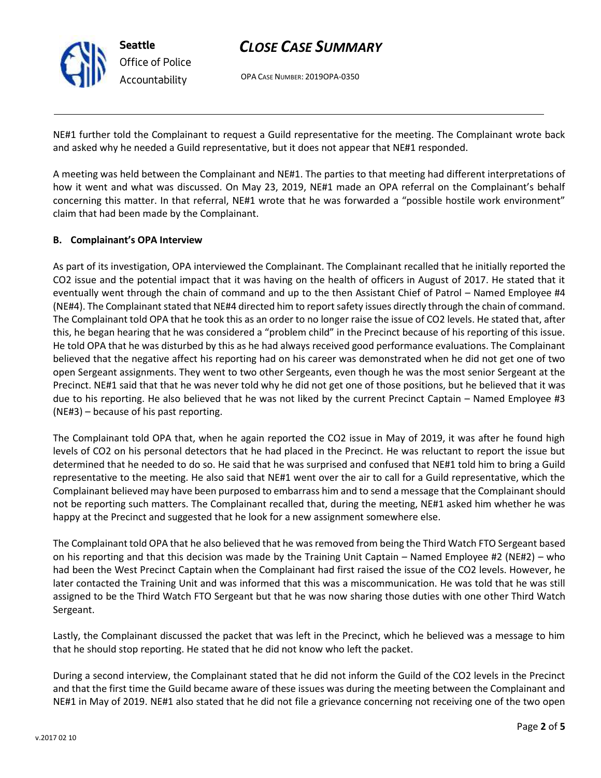

# *CLOSE CASE SUMMARY*

OPA CASE NUMBER: 2019OPA-0350

NE#1 further told the Complainant to request a Guild representative for the meeting. The Complainant wrote back and asked why he needed a Guild representative, but it does not appear that NE#1 responded.

A meeting was held between the Complainant and NE#1. The parties to that meeting had different interpretations of how it went and what was discussed. On May 23, 2019, NE#1 made an OPA referral on the Complainant's behalf concerning this matter. In that referral, NE#1 wrote that he was forwarded a "possible hostile work environment" claim that had been made by the Complainant.

### **B. Complainant's OPA Interview**

As part of its investigation, OPA interviewed the Complainant. The Complainant recalled that he initially reported the CO2 issue and the potential impact that it was having on the health of officers in August of 2017. He stated that it eventually went through the chain of command and up to the then Assistant Chief of Patrol – Named Employee #4 (NE#4). The Complainant stated that NE#4 directed him to report safety issues directly through the chain of command. The Complainant told OPA that he took this as an order to no longer raise the issue of CO2 levels. He stated that, after this, he began hearing that he was considered a "problem child" in the Precinct because of his reporting of this issue. He told OPA that he was disturbed by this as he had always received good performance evaluations. The Complainant believed that the negative affect his reporting had on his career was demonstrated when he did not get one of two open Sergeant assignments. They went to two other Sergeants, even though he was the most senior Sergeant at the Precinct. NE#1 said that that he was never told why he did not get one of those positions, but he believed that it was due to his reporting. He also believed that he was not liked by the current Precinct Captain – Named Employee #3 (NE#3) – because of his past reporting.

The Complainant told OPA that, when he again reported the CO2 issue in May of 2019, it was after he found high levels of CO2 on his personal detectors that he had placed in the Precinct. He was reluctant to report the issue but determined that he needed to do so. He said that he was surprised and confused that NE#1 told him to bring a Guild representative to the meeting. He also said that NE#1 went over the air to call for a Guild representative, which the Complainant believed may have been purposed to embarrass him and to send a message that the Complainant should not be reporting such matters. The Complainant recalled that, during the meeting, NE#1 asked him whether he was happy at the Precinct and suggested that he look for a new assignment somewhere else.

The Complainant told OPA that he also believed that he was removed from being the Third Watch FTO Sergeant based on his reporting and that this decision was made by the Training Unit Captain – Named Employee #2 (NE#2) – who had been the West Precinct Captain when the Complainant had first raised the issue of the CO2 levels. However, he later contacted the Training Unit and was informed that this was a miscommunication. He was told that he was still assigned to be the Third Watch FTO Sergeant but that he was now sharing those duties with one other Third Watch Sergeant.

Lastly, the Complainant discussed the packet that was left in the Precinct, which he believed was a message to him that he should stop reporting. He stated that he did not know who left the packet.

During a second interview, the Complainant stated that he did not inform the Guild of the CO2 levels in the Precinct and that the first time the Guild became aware of these issues was during the meeting between the Complainant and NE#1 in May of 2019. NE#1 also stated that he did not file a grievance concerning not receiving one of the two open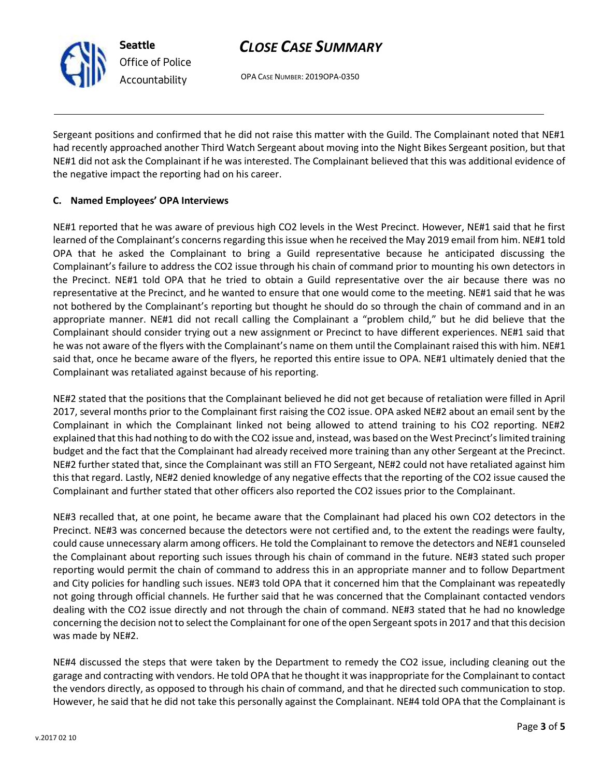

**Seattle** *Office of Police Accountability*

# *CLOSE CASE SUMMARY*

OPA CASE NUMBER: 2019OPA-0350

Sergeant positions and confirmed that he did not raise this matter with the Guild. The Complainant noted that NE#1 had recently approached another Third Watch Sergeant about moving into the Night Bikes Sergeant position, but that NE#1 did not ask the Complainant if he was interested. The Complainant believed that this was additional evidence of the negative impact the reporting had on his career.

# **C. Named Employees' OPA Interviews**

NE#1 reported that he was aware of previous high CO2 levels in the West Precinct. However, NE#1 said that he first learned of the Complainant's concerns regarding this issue when he received the May 2019 email from him. NE#1 told OPA that he asked the Complainant to bring a Guild representative because he anticipated discussing the Complainant's failure to address the CO2 issue through his chain of command prior to mounting his own detectors in the Precinct. NE#1 told OPA that he tried to obtain a Guild representative over the air because there was no representative at the Precinct, and he wanted to ensure that one would come to the meeting. NE#1 said that he was not bothered by the Complainant's reporting but thought he should do so through the chain of command and in an appropriate manner. NE#1 did not recall calling the Complainant a "problem child," but he did believe that the Complainant should consider trying out a new assignment or Precinct to have different experiences. NE#1 said that he was not aware of the flyers with the Complainant's name on them until the Complainant raised this with him. NE#1 said that, once he became aware of the flyers, he reported this entire issue to OPA. NE#1 ultimately denied that the Complainant was retaliated against because of his reporting.

NE#2 stated that the positions that the Complainant believed he did not get because of retaliation were filled in April 2017, several months prior to the Complainant first raising the CO2 issue. OPA asked NE#2 about an email sent by the Complainant in which the Complainant linked not being allowed to attend training to his CO2 reporting. NE#2 explained that this had nothing to do with the CO2 issue and, instead, was based on the West Precinct's limited training budget and the fact that the Complainant had already received more training than any other Sergeant at the Precinct. NE#2 further stated that, since the Complainant was still an FTO Sergeant, NE#2 could not have retaliated against him this that regard. Lastly, NE#2 denied knowledge of any negative effects that the reporting of the CO2 issue caused the Complainant and further stated that other officers also reported the CO2 issues prior to the Complainant.

NE#3 recalled that, at one point, he became aware that the Complainant had placed his own CO2 detectors in the Precinct. NE#3 was concerned because the detectors were not certified and, to the extent the readings were faulty, could cause unnecessary alarm among officers. He told the Complainant to remove the detectors and NE#1 counseled the Complainant about reporting such issues through his chain of command in the future. NE#3 stated such proper reporting would permit the chain of command to address this in an appropriate manner and to follow Department and City policies for handling such issues. NE#3 told OPA that it concerned him that the Complainant was repeatedly not going through official channels. He further said that he was concerned that the Complainant contacted vendors dealing with the CO2 issue directly and not through the chain of command. NE#3 stated that he had no knowledge concerning the decision not to select the Complainant for one of the open Sergeant spots in 2017 and that this decision was made by NE#2.

NE#4 discussed the steps that were taken by the Department to remedy the CO2 issue, including cleaning out the garage and contracting with vendors. He told OPA that he thought it was inappropriate for the Complainant to contact the vendors directly, as opposed to through his chain of command, and that he directed such communication to stop. However, he said that he did not take this personally against the Complainant. NE#4 told OPA that the Complainant is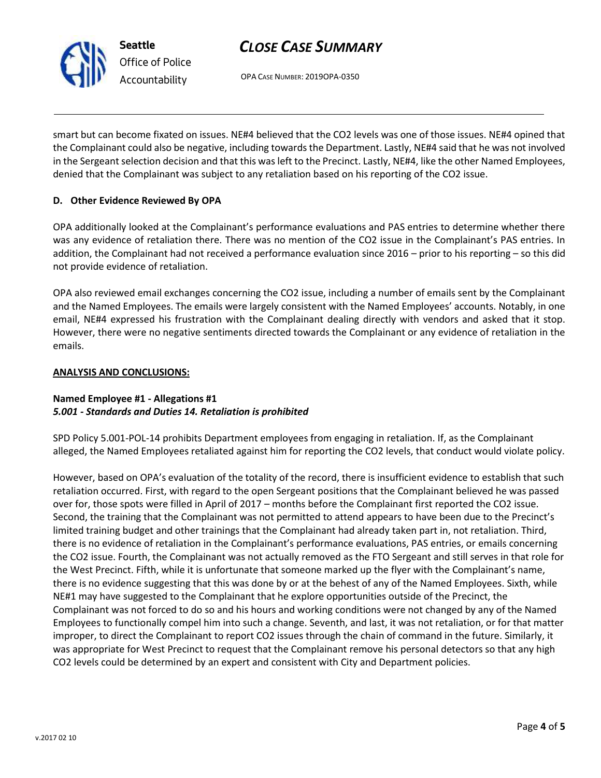

# *CLOSE CASE SUMMARY*

OPA CASE NUMBER: 2019OPA-0350

smart but can become fixated on issues. NE#4 believed that the CO2 levels was one of those issues. NE#4 opined that the Complainant could also be negative, including towards the Department. Lastly, NE#4 said that he was not involved in the Sergeant selection decision and that this was left to the Precinct. Lastly, NE#4, like the other Named Employees, denied that the Complainant was subject to any retaliation based on his reporting of the CO2 issue.

## **D. Other Evidence Reviewed By OPA**

OPA additionally looked at the Complainant's performance evaluations and PAS entries to determine whether there was any evidence of retaliation there. There was no mention of the CO2 issue in the Complainant's PAS entries. In addition, the Complainant had not received a performance evaluation since 2016 – prior to his reporting – so this did not provide evidence of retaliation.

OPA also reviewed email exchanges concerning the CO2 issue, including a number of emails sent by the Complainant and the Named Employees. The emails were largely consistent with the Named Employees' accounts. Notably, in one email, NE#4 expressed his frustration with the Complainant dealing directly with vendors and asked that it stop. However, there were no negative sentiments directed towards the Complainant or any evidence of retaliation in the emails.

### **ANALYSIS AND CONCLUSIONS:**

### **Named Employee #1 - Allegations #1** *5.001 - Standards and Duties 14. Retaliation is prohibited*

SPD Policy 5.001-POL-14 prohibits Department employees from engaging in retaliation. If, as the Complainant alleged, the Named Employees retaliated against him for reporting the CO2 levels, that conduct would violate policy.

However, based on OPA's evaluation of the totality of the record, there is insufficient evidence to establish that such retaliation occurred. First, with regard to the open Sergeant positions that the Complainant believed he was passed over for, those spots were filled in April of 2017 – months before the Complainant first reported the CO2 issue. Second, the training that the Complainant was not permitted to attend appears to have been due to the Precinct's limited training budget and other trainings that the Complainant had already taken part in, not retaliation. Third, there is no evidence of retaliation in the Complainant's performance evaluations, PAS entries, or emails concerning the CO2 issue. Fourth, the Complainant was not actually removed as the FTO Sergeant and still serves in that role for the West Precinct. Fifth, while it is unfortunate that someone marked up the flyer with the Complainant's name, there is no evidence suggesting that this was done by or at the behest of any of the Named Employees. Sixth, while NE#1 may have suggested to the Complainant that he explore opportunities outside of the Precinct, the Complainant was not forced to do so and his hours and working conditions were not changed by any of the Named Employees to functionally compel him into such a change. Seventh, and last, it was not retaliation, or for that matter improper, to direct the Complainant to report CO2 issues through the chain of command in the future. Similarly, it was appropriate for West Precinct to request that the Complainant remove his personal detectors so that any high CO2 levels could be determined by an expert and consistent with City and Department policies.